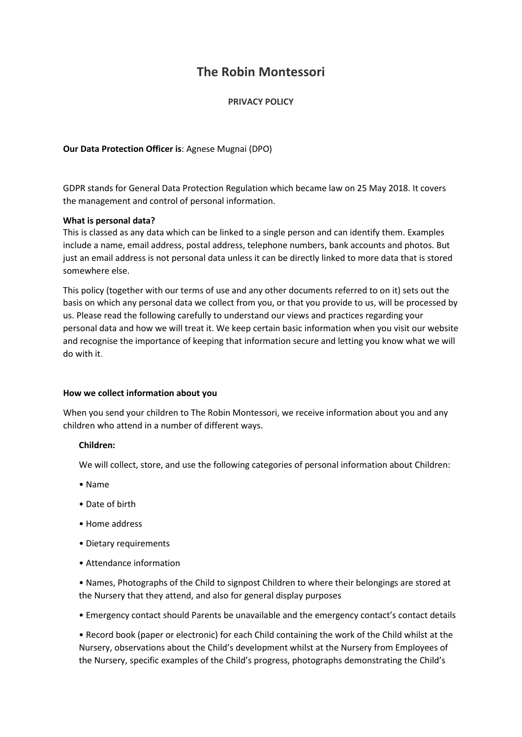# **The Robin Montessori**

## **PRIVACY POLICY**

**Our Data Protection Officer is**: Agnese Mugnai (DPO)

GDPR stands for General Data Protection Regulation which became law on 25 May 2018. It covers the management and control of personal information.

## **What is personal data?**

This is classed as any data which can be linked to a single person and can identify them. Examples include a name, email address, postal address, telephone numbers, bank accounts and photos. But just an email address is not personal data unless it can be directly linked to more data that is stored somewhere else.

This policy (together with our terms of use and any other documents referred to on it) sets out the basis on which any personal data we collect from you, or that you provide to us, will be processed by us. Please read the following carefully to understand our views and practices regarding your personal data and how we will treat it. We keep certain basic information when you visit our website and recognise the importance of keeping that information secure and letting you know what we will do with it.

## **How we collect information about you**

When you send your children to The Robin Montessori, we receive information about you and any children who attend in a number of different ways.

## **Children:**

We will collect, store, and use the following categories of personal information about Children:

- Name
- Date of birth
- Home address
- Dietary requirements
- Attendance information

• Names, Photographs of the Child to signpost Children to where their belongings are stored at the Nursery that they attend, and also for general display purposes

• Emergency contact should Parents be unavailable and the emergency contact's contact details

• Record book (paper or electronic) for each Child containing the work of the Child whilst at the Nursery, observations about the Child's development whilst at the Nursery from Employees of the Nursery, specific examples of the Child's progress, photographs demonstrating the Child's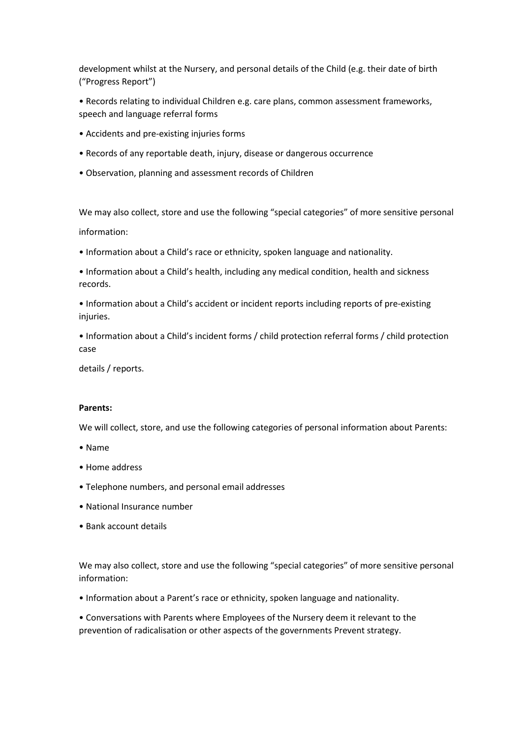development whilst at the Nursery, and personal details of the Child (e.g. their date of birth ("Progress Report")

- Records relating to individual Children e.g. care plans, common assessment frameworks, speech and language referral forms
- Accidents and pre-existing injuries forms
- Records of any reportable death, injury, disease or dangerous occurrence
- Observation, planning and assessment records of Children

We may also collect, store and use the following "special categories" of more sensitive personal information:

- Information about a Child's race or ethnicity, spoken language and nationality.
- Information about a Child's health, including any medical condition, health and sickness records.
- Information about a Child's accident or incident reports including reports of pre-existing injuries.
- Information about a Child's incident forms / child protection referral forms / child protection case

details / reports.

## **Parents:**

We will collect, store, and use the following categories of personal information about Parents:

- Name
- Home address
- Telephone numbers, and personal email addresses
- National Insurance number
- Bank account details

We may also collect, store and use the following "special categories" of more sensitive personal information:

• Information about a Parent's race or ethnicity, spoken language and nationality.

• Conversations with Parents where Employees of the Nursery deem it relevant to the prevention of radicalisation or other aspects of the governments Prevent strategy.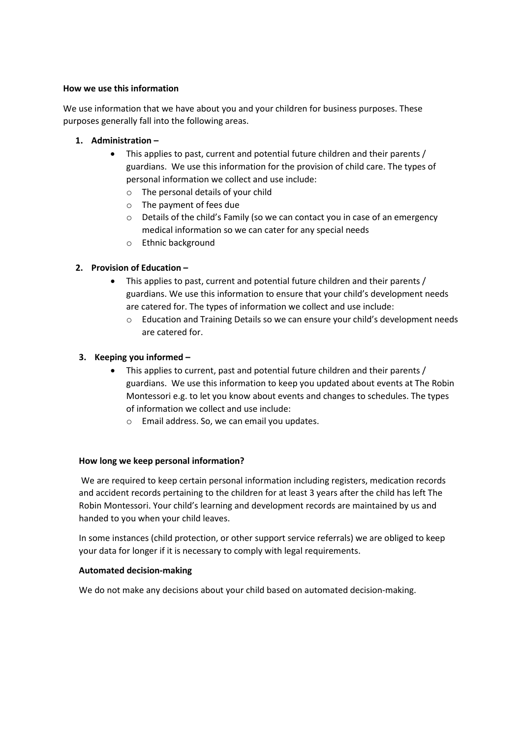## **How we use this information**

We use information that we have about you and your children for business purposes. These purposes generally fall into the following areas.

- **1. Administration –**
	- This applies to past, current and potential future children and their parents / guardians. We use this information for the provision of child care. The types of personal information we collect and use include:
		- o The personal details of your child
		- o The payment of fees due
		- o Details of the child's Family (so we can contact you in case of an emergency medical information so we can cater for any special needs
		- o Ethnic background

# **2. Provision of Education –**

- This applies to past, current and potential future children and their parents / guardians. We use this information to ensure that your child's development needs are catered for. The types of information we collect and use include:
	- o Education and Training Details so we can ensure your child's development needs are catered for.

# **3. Keeping you informed –**

- This applies to current, past and potential future children and their parents / guardians. We use this information to keep you updated about events at The Robin Montessori e.g. to let you know about events and changes to schedules. The types of information we collect and use include:
	- o Email address. So, we can email you updates.

# **How long we keep personal information?**

We are required to keep certain personal information including registers, medication records and accident records pertaining to the children for at least 3 years after the child has left The Robin Montessori. Your child's learning and development records are maintained by us and handed to you when your child leaves.

In some instances (child protection, or other support service referrals) we are obliged to keep your data for longer if it is necessary to comply with legal requirements.

# **Automated decision-making**

We do not make any decisions about your child based on automated decision-making.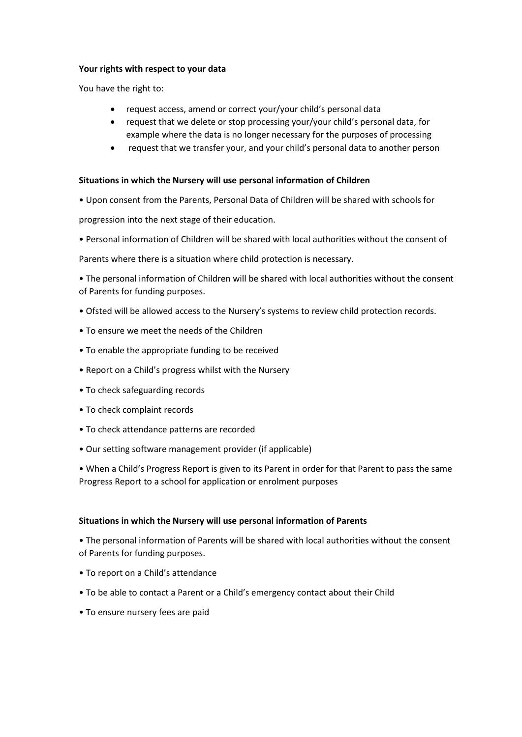#### **Your rights with respect to your data**

You have the right to:

- request access, amend or correct your/your child's personal data
- request that we delete or stop processing your/your child's personal data, for example where the data is no longer necessary for the purposes of processing
- request that we transfer your, and your child's personal data to another person

#### **Situations in which the Nursery will use personal information of Children**

• Upon consent from the Parents, Personal Data of Children will be shared with schools for

progression into the next stage of their education.

• Personal information of Children will be shared with local authorities without the consent of

Parents where there is a situation where child protection is necessary.

• The personal information of Children will be shared with local authorities without the consent of Parents for funding purposes.

- Ofsted will be allowed access to the Nursery's systems to review child protection records.
- To ensure we meet the needs of the Children
- To enable the appropriate funding to be received
- Report on a Child's progress whilst with the Nursery
- To check safeguarding records
- To check complaint records
- To check attendance patterns are recorded
- Our setting software management provider (if applicable)

• When a Child's Progress Report is given to its Parent in order for that Parent to pass the same Progress Report to a school for application or enrolment purposes

#### **Situations in which the Nursery will use personal information of Parents**

• The personal information of Parents will be shared with local authorities without the consent of Parents for funding purposes.

- To report on a Child's attendance
- To be able to contact a Parent or a Child's emergency contact about their Child
- To ensure nursery fees are paid